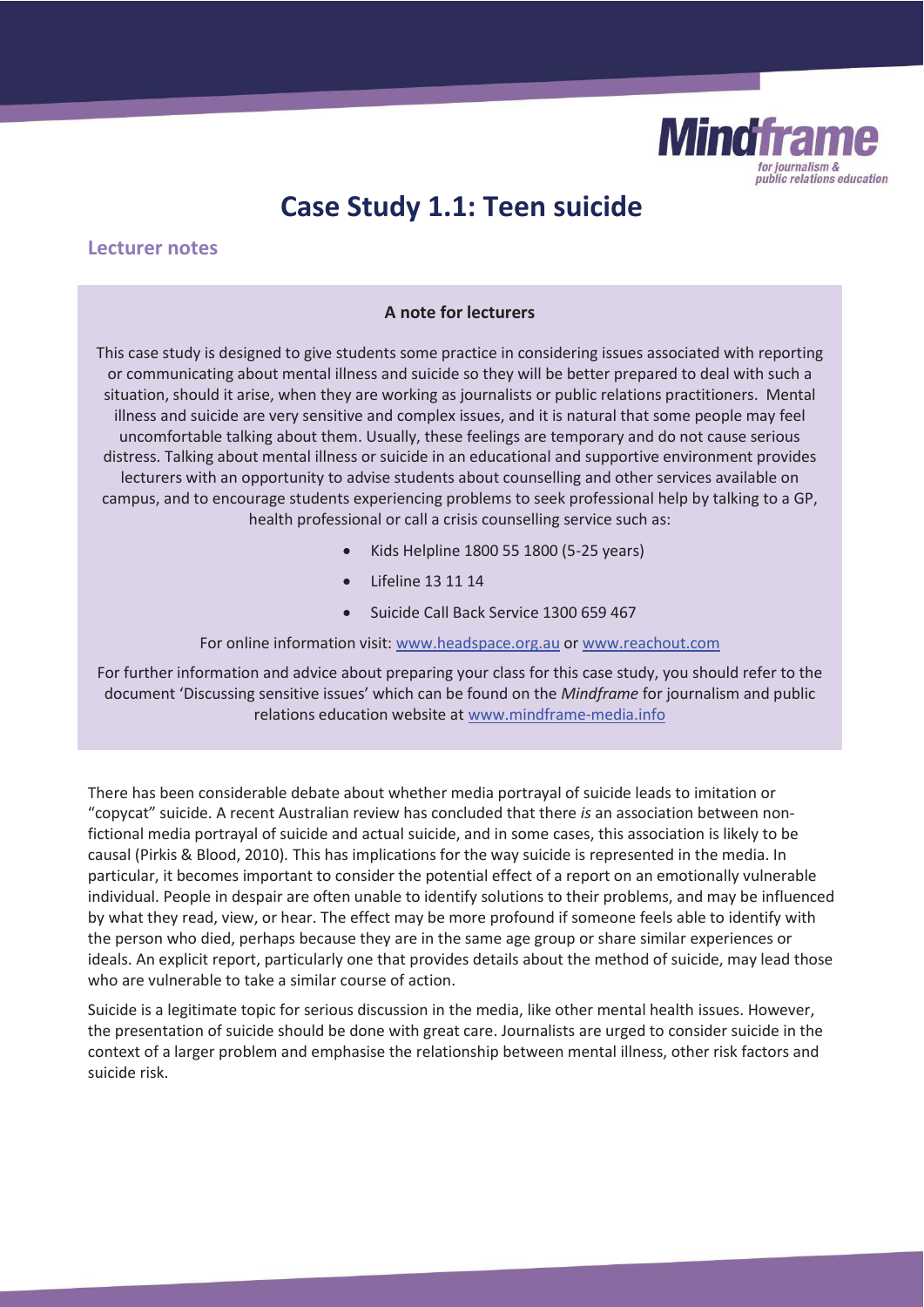

# **Case Study 1.1: Teen suicide**

# **Lecturer notes**

#### **A note for lecturers**

This case study is designed to give students some practice in considering issues associated with reporting or communicating about mental illness and suicide so they will be better prepared to deal with such a situation, should it arise, when they are working as journalists or public relations practitioners. Mental illness and suicide are very sensitive and complex issues, and it is natural that some people may feel uncomfortable talking about them. Usually, these feelings are temporary and do not cause serious distress. Talking about mental illness or suicide in an educational and supportive environment provides lecturers with an opportunity to advise students about counselling and other services available on campus, and to encourage students experiencing problems to seek professional help by talking to a GP, health professional or call a crisis counselling service such as:

- x Kids Helpline 1800 55 1800 (5-25 years)
- x Lifeline 13 11 14
- Suicide Call Back Service 1300 659 467

For online information visit: www.headspace.org.au or www.reachout.com

For further information and advice about preparing your class for this case study, you should refer to the document 'Discussing sensitive issues' which can be found on the *Mindframe* for journalism and public relations education website at www.mindframe-media.info

There has been considerable debate about whether media portrayal of suicide leads to imitation or "copycat" suicide. A recent Australian review has concluded that there *is* an association between nonfictional media portrayal of suicide and actual suicide, and in some cases, this association is likely to be causal (Pirkis & Blood, 2010)*.* This has implications for the way suicide is represented in the media. In particular, it becomes important to consider the potential effect of a report on an emotionally vulnerable individual. People in despair are often unable to identify solutions to their problems, and may be influenced by what they read, view, or hear. The effect may be more profound if someone feels able to identify with the person who died, perhaps because they are in the same age group or share similar experiences or ideals. An explicit report, particularly one that provides details about the method of suicide, may lead those who are vulnerable to take a similar course of action.

Suicide is a legitimate topic for serious discussion in the media, like other mental health issues. However, the presentation of suicide should be done with great care. Journalists are urged to consider suicide in the context of a larger problem and emphasise the relationship between mental illness, other risk factors and suicide risk.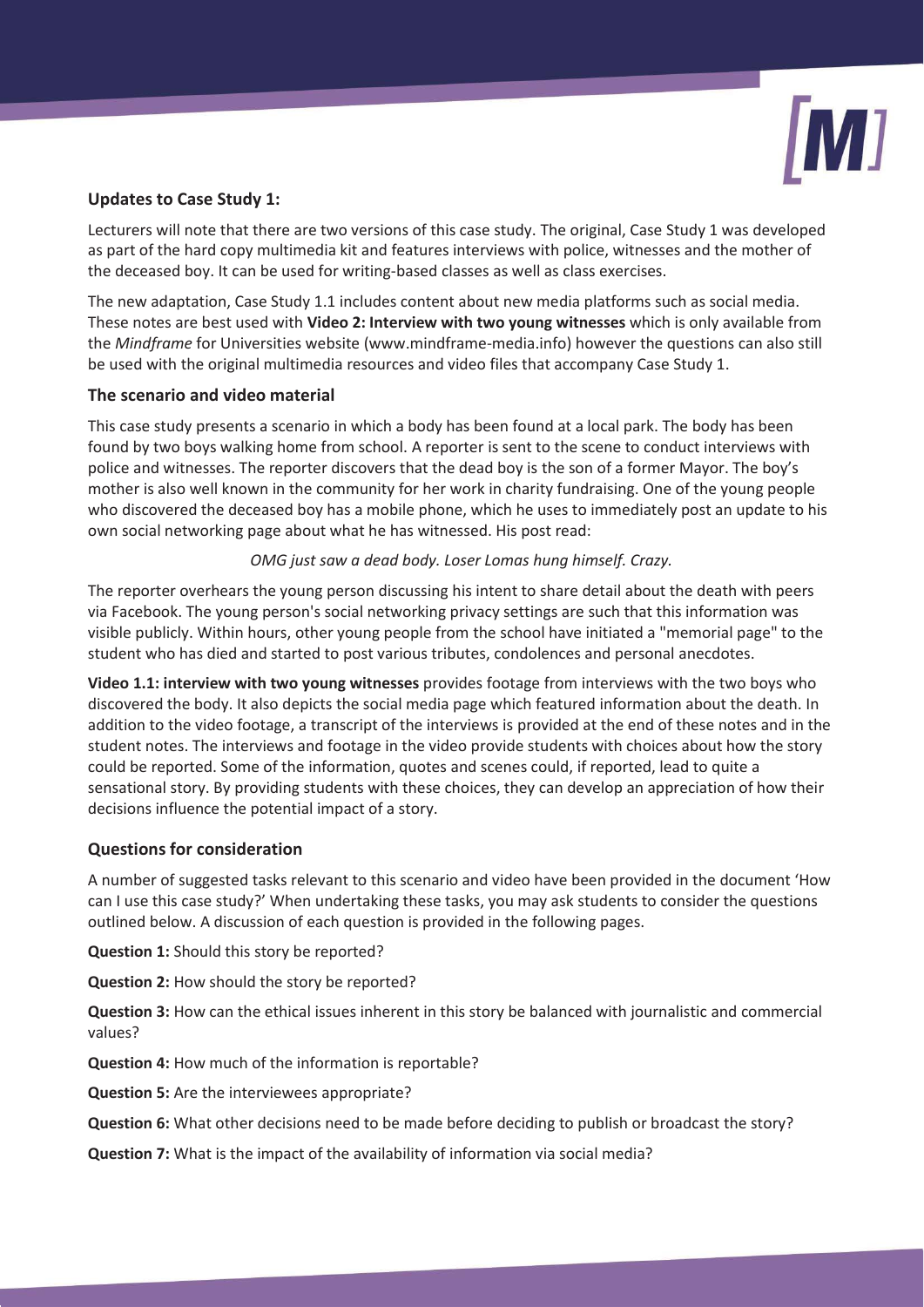

# **Updates to Case Study 1:**

Lecturers will note that there are two versions of this case study. The original, Case Study 1 was developed as part of the hard copy multimedia kit and features interviews with police, witnesses and the mother of the deceased boy. It can be used for writing-based classes as well as class exercises.

The new adaptation, Case Study 1.1 includes content about new media platforms such as social media. These notes are best used with **Video 2: Interview with two young witnesses** which is only available from the *Mindframe* for Universities website (www.mindframe-media.info) however the questions can also still be used with the original multimedia resources and video files that accompany Case Study 1.

# **The scenario and video material**

This case study presents a scenario in which a body has been found at a local park. The body has been found by two boys walking home from school. A reporter is sent to the scene to conduct interviews with police and witnesses. The reporter discovers that the dead boy is the son of a former Mayor. The boy's mother is also well known in the community for her work in charity fundraising. One of the young people who discovered the deceased boy has a mobile phone, which he uses to immediately post an update to his own social networking page about what he has witnessed. His post read:

# *OMG just saw a dead body. Loser Lomas hung himself. Crazy.*

The reporter overhears the young person discussing his intent to share detail about the death with peers via Facebook. The young person's social networking privacy settings are such that this information was visible publicly. Within hours, other young people from the school have initiated a "memorial page" to the student who has died and started to post various tributes, condolences and personal anecdotes.

**Video 1.1: interview with two young witnesses** provides footage from interviews with the two boys who discovered the body. It also depicts the social media page which featured information about the death. In addition to the video footage, a transcript of the interviews is provided at the end of these notes and in the student notes. The interviews and footage in the video provide students with choices about how the story could be reported. Some of the information, quotes and scenes could, if reported, lead to quite a sensational story. By providing students with these choices, they can develop an appreciation of how their decisions influence the potential impact of a story.

# **Questions for consideration**

A number of suggested tasks relevant to this scenario and video have been provided in the document 'How can I use this case study?' When undertaking these tasks, you may ask students to consider the questions outlined below. A discussion of each question is provided in the following pages.

**Question 1:** Should this story be reported?

**Question 2:** How should the story be reported?

**Question 3:** How can the ethical issues inherent in this story be balanced with journalistic and commercial values?

**Question 4:** How much of the information is reportable?

**Question 5:** Are the interviewees appropriate?

**Question 6:** What other decisions need to be made before deciding to publish or broadcast the story?

**Question 7:** What is the impact of the availability of information via social media?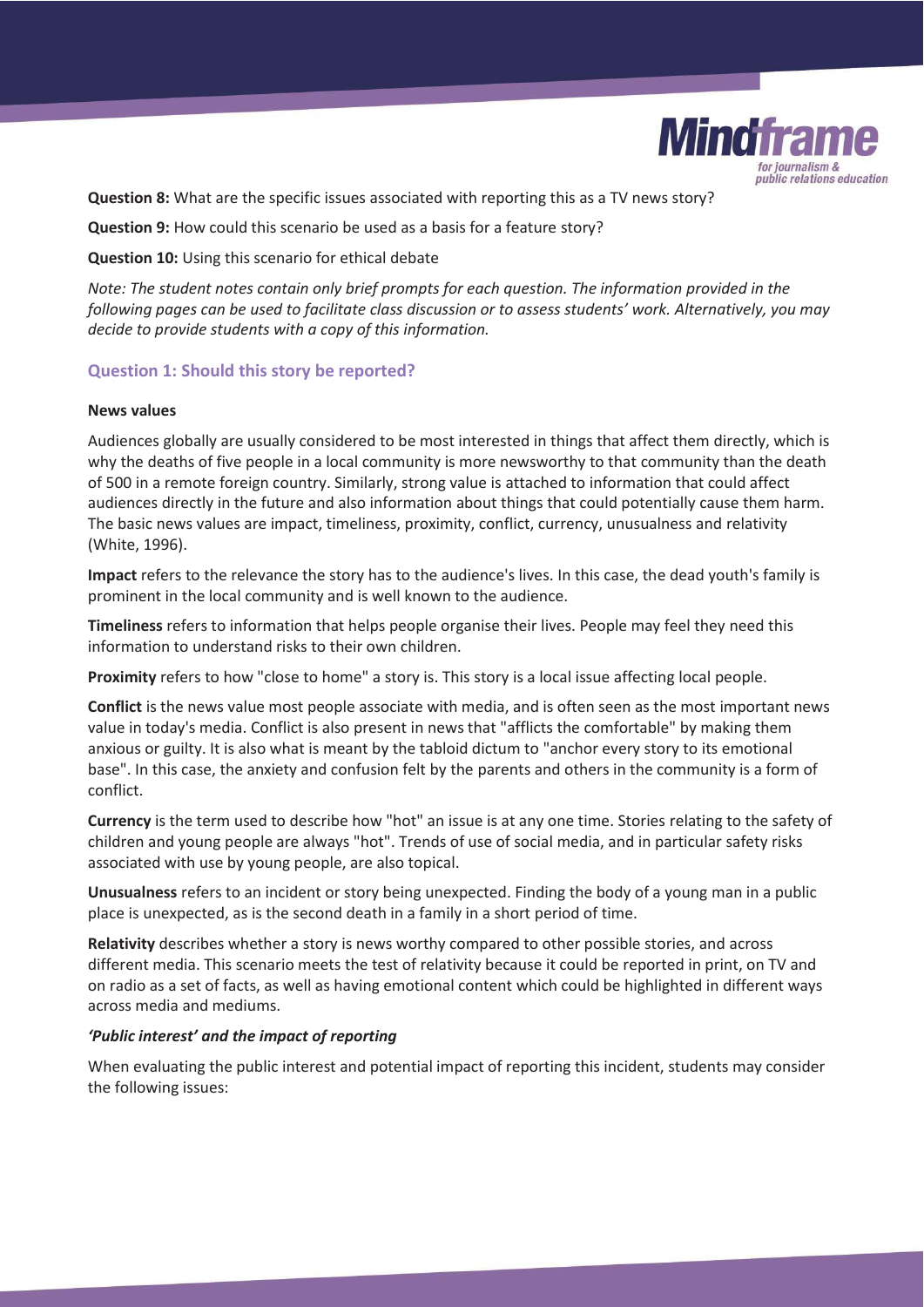

**Question 8:** What are the specific issues associated with reporting this as a TV news story?

**Question 9:** How could this scenario be used as a basis for a feature story?

**Question 10:** Using this scenario for ethical debate

*Note: The student notes contain only brief prompts for each question. The information provided in the following pages can be used to facilitate class discussion or to assess students' work. Alternatively, you may decide to provide students with a copy of this information.* 

# **Question 1: Should this story be reported?**

#### **News values**

Audiences globally are usually considered to be most interested in things that affect them directly, which is why the deaths of five people in a local community is more newsworthy to that community than the death of 500 in a remote foreign country. Similarly, strong value is attached to information that could affect audiences directly in the future and also information about things that could potentially cause them harm. The basic news values are impact, timeliness, proximity, conflict, currency, unusualness and relativity (White, 1996).

**Impact** refers to the relevance the story has to the audience's lives. In this case, the dead youth's family is prominent in the local community and is well known to the audience.

**Timeliness** refers to information that helps people organise their lives. People may feel they need this information to understand risks to their own children.

**Proximity** refers to how "close to home" a story is. This story is a local issue affecting local people.

**Conflict** is the news value most people associate with media, and is often seen as the most important news value in today's media. Conflict is also present in news that "afflicts the comfortable" by making them anxious or guilty. It is also what is meant by the tabloid dictum to "anchor every story to its emotional base". In this case, the anxiety and confusion felt by the parents and others in the community is a form of conflict.

**Currency** is the term used to describe how "hot" an issue is at any one time. Stories relating to the safety of children and young people are always "hot". Trends of use of social media, and in particular safety risks associated with use by young people, are also topical.

**Unusualness** refers to an incident or story being unexpected. Finding the body of a young man in a public place is unexpected, as is the second death in a family in a short period of time.

**Relativity** describes whether a story is news worthy compared to other possible stories, and across different media. This scenario meets the test of relativity because it could be reported in print, on TV and on radio as a set of facts, as well as having emotional content which could be highlighted in different ways across media and mediums.

## *'Public interest' and the impact of reporting*

When evaluating the public interest and potential impact of reporting this incident, students may consider the following issues: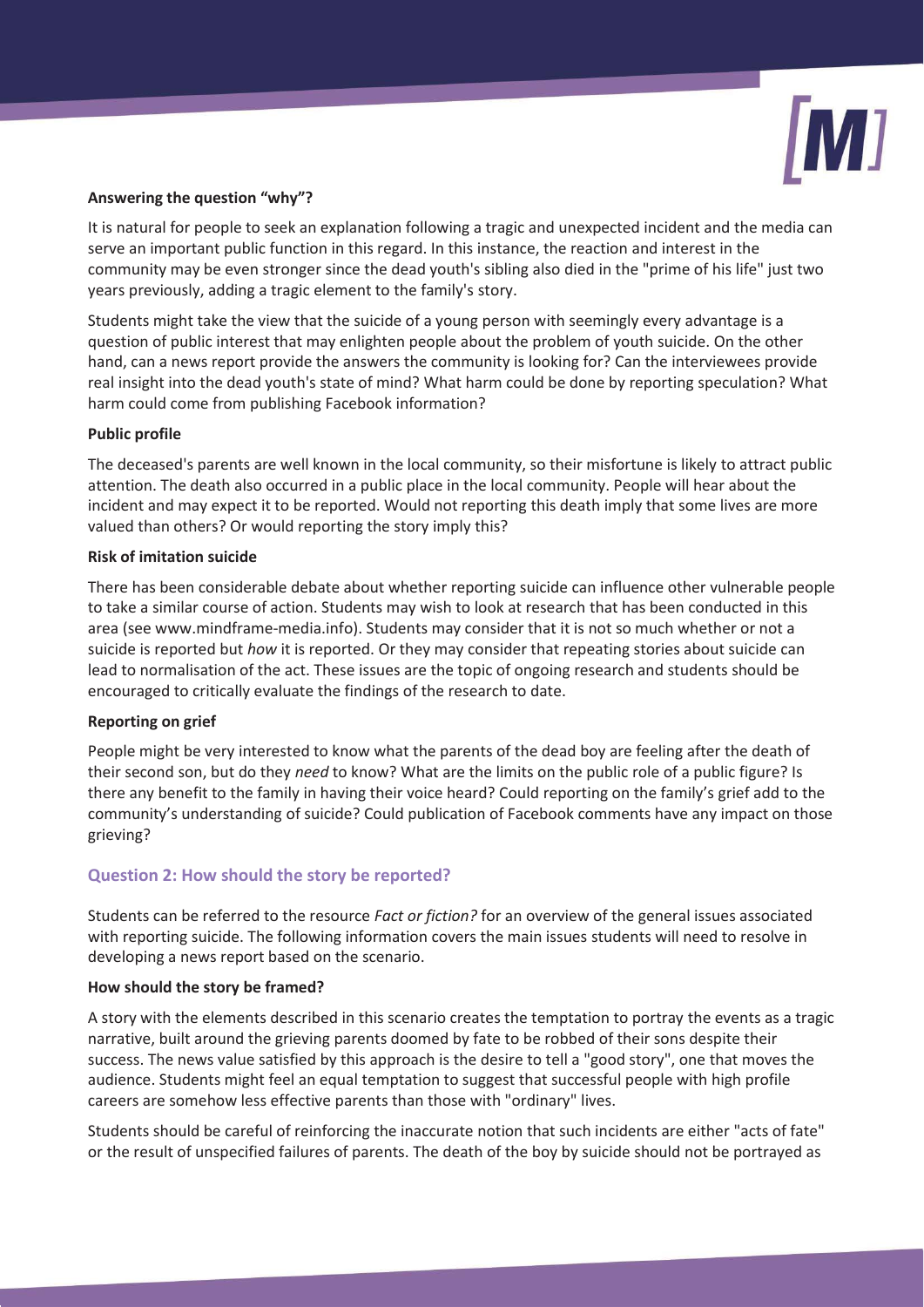

## **Answering the question "why"?**

It is natural for people to seek an explanation following a tragic and unexpected incident and the media can serve an important public function in this regard. In this instance, the reaction and interest in the community may be even stronger since the dead youth's sibling also died in the "prime of his life" just two years previously, adding a tragic element to the family's story.

Students might take the view that the suicide of a young person with seemingly every advantage is a question of public interest that may enlighten people about the problem of youth suicide. On the other hand, can a news report provide the answers the community is looking for? Can the interviewees provide real insight into the dead youth's state of mind? What harm could be done by reporting speculation? What harm could come from publishing Facebook information?

## **Public profile**

The deceased's parents are well known in the local community, so their misfortune is likely to attract public attention. The death also occurred in a public place in the local community. People will hear about the incident and may expect it to be reported. Would not reporting this death imply that some lives are more valued than others? Or would reporting the story imply this?

## **Risk of imitation suicide**

There has been considerable debate about whether reporting suicide can influence other vulnerable people to take a similar course of action. Students may wish to look at research that has been conducted in this area (see www.mindframe-media.info). Students may consider that it is not so much whether or not a suicide is reported but *how* it is reported. Or they may consider that repeating stories about suicide can lead to normalisation of the act. These issues are the topic of ongoing research and students should be encouraged to critically evaluate the findings of the research to date.

## **Reporting on grief**

People might be very interested to know what the parents of the dead boy are feeling after the death of their second son, but do they *need* to know? What are the limits on the public role of a public figure? Is there any benefit to the family in having their voice heard? Could reporting on the family's grief add to the community's understanding of suicide? Could publication of Facebook comments have any impact on those grieving?

# **Question 2: How should the story be reported?**

Students can be referred to the resource *Fact or fiction?* for an overview of the general issues associated with reporting suicide. The following information covers the main issues students will need to resolve in developing a news report based on the scenario.

## **How should the story be framed?**

A story with the elements described in this scenario creates the temptation to portray the events as a tragic narrative, built around the grieving parents doomed by fate to be robbed of their sons despite their success. The news value satisfied by this approach is the desire to tell a "good story", one that moves the audience. Students might feel an equal temptation to suggest that successful people with high profile careers are somehow less effective parents than those with "ordinary" lives.

Students should be careful of reinforcing the inaccurate notion that such incidents are either "acts of fate" or the result of unspecified failures of parents. The death of the boy by suicide should not be portrayed as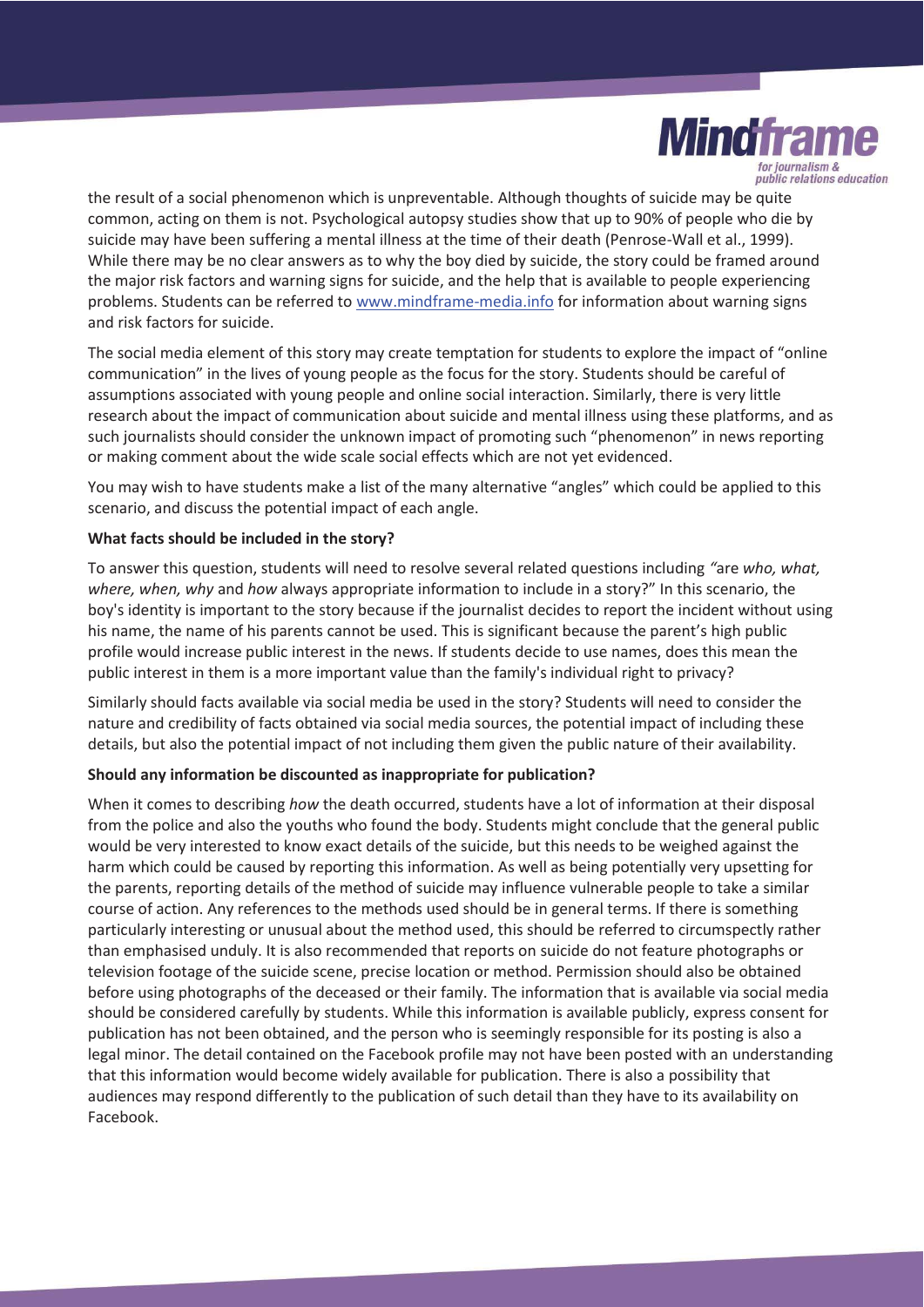

the result of a social phenomenon which is unpreventable. Although thoughts of suicide may be quite common, acting on them is not. Psychological autopsy studies show that up to 90% of people who die by suicide may have been suffering a mental illness at the time of their death (Penrose-Wall et al., 1999). While there may be no clear answers as to why the boy died by suicide, the story could be framed around the major risk factors and warning signs for suicide, and the help that is available to people experiencing problems. Students can be referred to www.mindframe-media.info for information about warning signs and risk factors for suicide.

The social media element of this story may create temptation for students to explore the impact of "online communication" in the lives of young people as the focus for the story. Students should be careful of assumptions associated with young people and online social interaction. Similarly, there is very little research about the impact of communication about suicide and mental illness using these platforms, and as such journalists should consider the unknown impact of promoting such "phenomenon" in news reporting or making comment about the wide scale social effects which are not yet evidenced.

You may wish to have students make a list of the many alternative "angles" which could be applied to this scenario, and discuss the potential impact of each angle.

## **What facts should be included in the story?**

To answer this question, students will need to resolve several related questions including *"*are *who, what, where, when, why* and *how* always appropriate information to include in a story?" In this scenario, the boy's identity is important to the story because if the journalist decides to report the incident without using his name, the name of his parents cannot be used. This is significant because the parent's high public profile would increase public interest in the news. If students decide to use names, does this mean the public interest in them is a more important value than the family's individual right to privacy?

Similarly should facts available via social media be used in the story? Students will need to consider the nature and credibility of facts obtained via social media sources, the potential impact of including these details, but also the potential impact of not including them given the public nature of their availability.

## **Should any information be discounted as inappropriate for publication?**

When it comes to describing *how* the death occurred, students have a lot of information at their disposal from the police and also the youths who found the body. Students might conclude that the general public would be very interested to know exact details of the suicide, but this needs to be weighed against the harm which could be caused by reporting this information. As well as being potentially very upsetting for the parents, reporting details of the method of suicide may influence vulnerable people to take a similar course of action. Any references to the methods used should be in general terms. If there is something particularly interesting or unusual about the method used, this should be referred to circumspectly rather than emphasised unduly. It is also recommended that reports on suicide do not feature photographs or television footage of the suicide scene, precise location or method. Permission should also be obtained before using photographs of the deceased or their family. The information that is available via social media should be considered carefully by students. While this information is available publicly, express consent for publication has not been obtained, and the person who is seemingly responsible for its posting is also a legal minor. The detail contained on the Facebook profile may not have been posted with an understanding that this information would become widely available for publication. There is also a possibility that audiences may respond differently to the publication of such detail than they have to its availability on Facebook.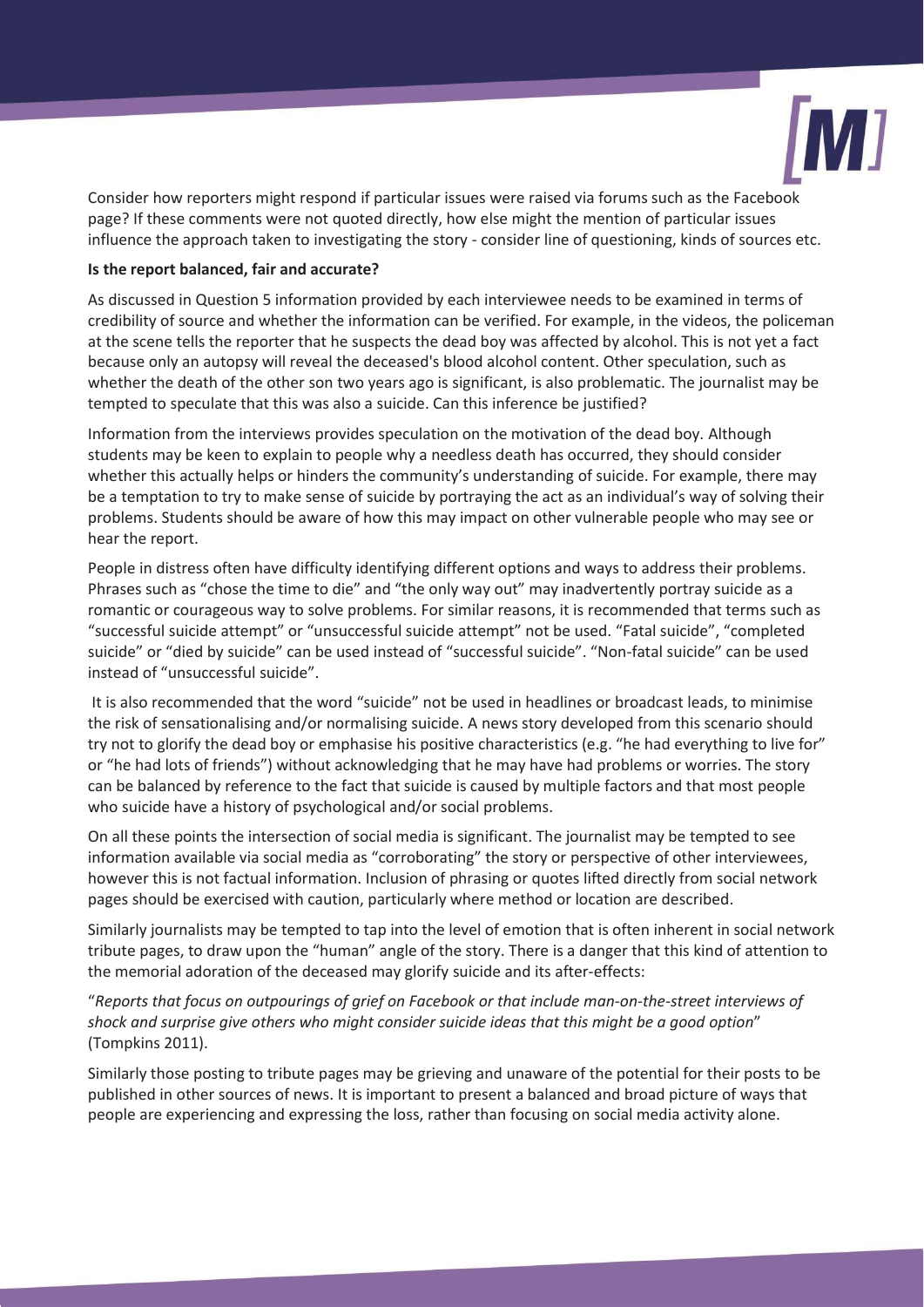

Consider how reporters might respond if particular issues were raised via forums such as the Facebook page? If these comments were not quoted directly, how else might the mention of particular issues influence the approach taken to investigating the story - consider line of questioning, kinds of sources etc.

#### **Is the report balanced, fair and accurate?**

As discussed in Question 5 information provided by each interviewee needs to be examined in terms of credibility of source and whether the information can be verified. For example, in the videos, the policeman at the scene tells the reporter that he suspects the dead boy was affected by alcohol. This is not yet a fact because only an autopsy will reveal the deceased's blood alcohol content. Other speculation, such as whether the death of the other son two years ago is significant, is also problematic. The journalist may be tempted to speculate that this was also a suicide. Can this inference be justified?

Information from the interviews provides speculation on the motivation of the dead boy. Although students may be keen to explain to people why a needless death has occurred, they should consider whether this actually helps or hinders the community's understanding of suicide. For example, there may be a temptation to try to make sense of suicide by portraying the act as an individual's way of solving their problems. Students should be aware of how this may impact on other vulnerable people who may see or hear the report.

People in distress often have difficulty identifying different options and ways to address their problems. Phrases such as "chose the time to die" and "the only way out" may inadvertently portray suicide as a romantic or courageous way to solve problems. For similar reasons, it is recommended that terms such as "successful suicide attempt" or "unsuccessful suicide attempt" not be used. "Fatal suicide", "completed suicide" or "died by suicide" can be used instead of "successful suicide". "Non-fatal suicide" can be used instead of "unsuccessful suicide".

 It is also recommended that the word "suicide" not be used in headlines or broadcast leads, to minimise the risk of sensationalising and/or normalising suicide. A news story developed from this scenario should try not to glorify the dead boy or emphasise his positive characteristics (e.g. "he had everything to live for" or "he had lots of friends") without acknowledging that he may have had problems or worries. The story can be balanced by reference to the fact that suicide is caused by multiple factors and that most people who suicide have a history of psychological and/or social problems.

On all these points the intersection of social media is significant. The journalist may be tempted to see information available via social media as "corroborating" the story or perspective of other interviewees, however this is not factual information. Inclusion of phrasing or quotes lifted directly from social network pages should be exercised with caution, particularly where method or location are described.

Similarly journalists may be tempted to tap into the level of emotion that is often inherent in social network tribute pages, to draw upon the "human" angle of the story. There is a danger that this kind of attention to the memorial adoration of the deceased may glorify suicide and its after-effects:

"*Reports that focus on outpourings of grief on Facebook or that include man-on-the-street interviews of shock and surprise give others who might consider suicide ideas that this might be a good option*" (Tompkins 2011).

Similarly those posting to tribute pages may be grieving and unaware of the potential for their posts to be published in other sources of news. It is important to present a balanced and broad picture of ways that people are experiencing and expressing the loss, rather than focusing on social media activity alone.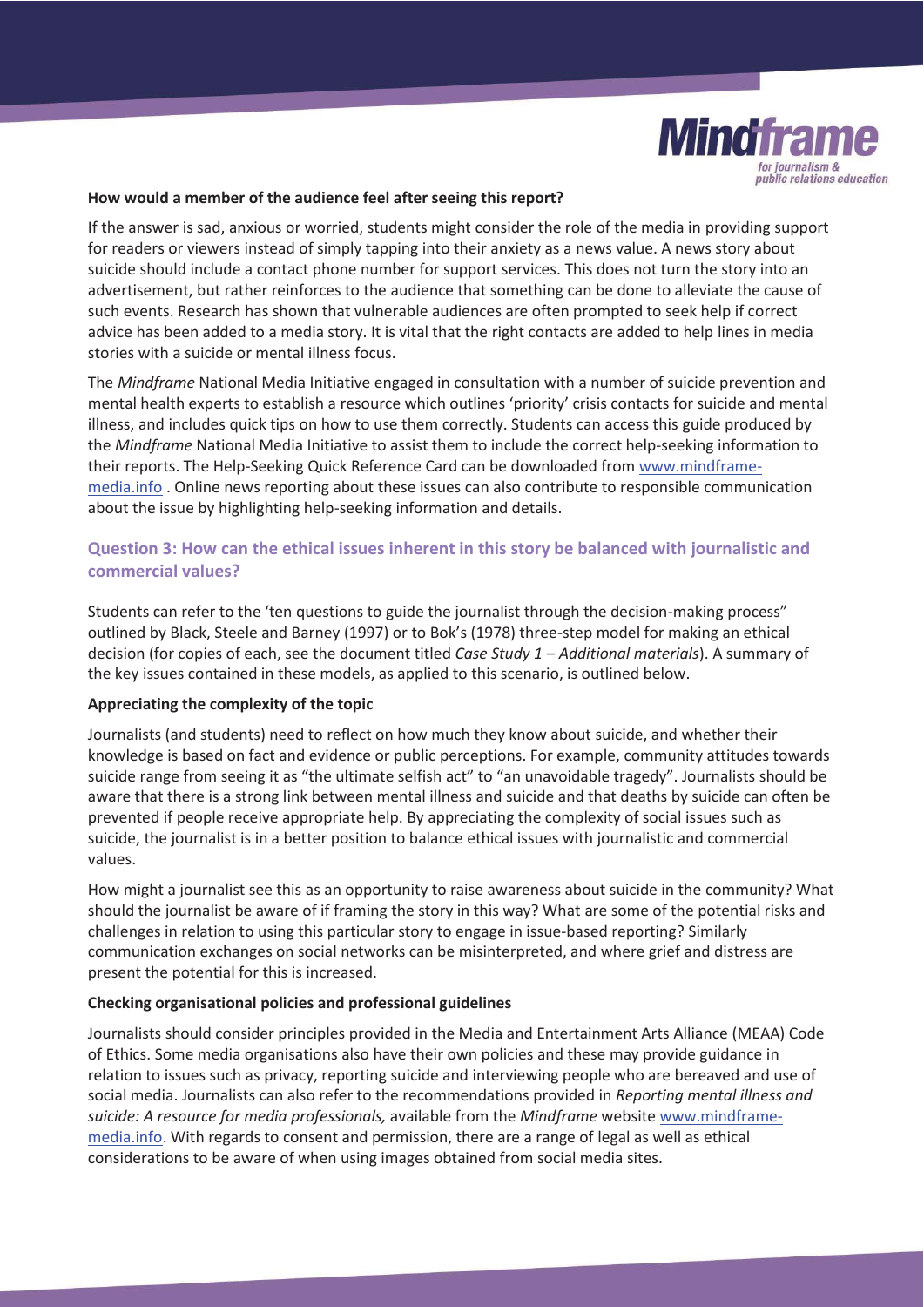

#### **How would a member of the audience feel after seeing this report?**

If the answer is sad, anxious or worried, students might consider the role of the media in providing support for readers or viewers instead of simply tapping into their anxiety as a news value. A news story about suicide should include a contact phone number for support services. This does not turn the story into an advertisement, but rather reinforces to the audience that something can be done to alleviate the cause of such events. Research has shown that vulnerable audiences are often prompted to seek help if correct advice has been added to a media story. It is vital that the right contacts are added to help lines in media stories with a suicide or mental illness focus.

The *Mindframe* National Media Initiative engaged in consultation with a number of suicide prevention and mental health experts to establish a resource which outlines 'priority' crisis contacts for suicide and mental illness, and includes quick tips on how to use them correctly. Students can access this guide produced by the *Mindframe* National Media Initiative to assist them to include the correct help-seeking information to their reports. The Help-Seeking Quick Reference Card can be downloaded from www.mindframemedia.info . Online news reporting about these issues can also contribute to responsible communication about the issue by highlighting help-seeking information and details.

# **Question 3: How can the ethical issues inherent in this story be balanced with journalistic and commercial values?**

Students can refer to the 'ten questions to guide the journalist through the decision-making process" outlined by Black, Steele and Barney (1997) or to Bok's (1978) three-step model for making an ethical decision (for copies of each, see the document titled *Case Study 1 – Additional materials*). A summary of the key issues contained in these models, as applied to this scenario, is outlined below.

## **Appreciating the complexity of the topic**

Journalists (and students) need to reflect on how much they know about suicide, and whether their knowledge is based on fact and evidence or public perceptions. For example, community attitudes towards suicide range from seeing it as "the ultimate selfish act" to "an unavoidable tragedy". Journalists should be aware that there is a strong link between mental illness and suicide and that deaths by suicide can often be prevented if people receive appropriate help. By appreciating the complexity of social issues such as suicide, the journalist is in a better position to balance ethical issues with journalistic and commercial values.

How might a journalist see this as an opportunity to raise awareness about suicide in the community? What should the journalist be aware of if framing the story in this way? What are some of the potential risks and challenges in relation to using this particular story to engage in issue-based reporting? Similarly communication exchanges on social networks can be misinterpreted, and where grief and distress are present the potential for this is increased.

#### **Checking organisational policies and professional guidelines**

Journalists should consider principles provided in the Media and Entertainment Arts Alliance (MEAA) Code of Ethics. Some media organisations also have their own policies and these may provide guidance in relation to issues such as privacy, reporting suicide and interviewing people who are bereaved and use of social media. Journalists can also refer to the recommendations provided in *Reporting mental illness and suicide: A resource for media professionals,* available from the *Mindframe* website www.mindframemedia.info. With regards to consent and permission, there are a range of legal as well as ethical considerations to be aware of when using images obtained from social media sites.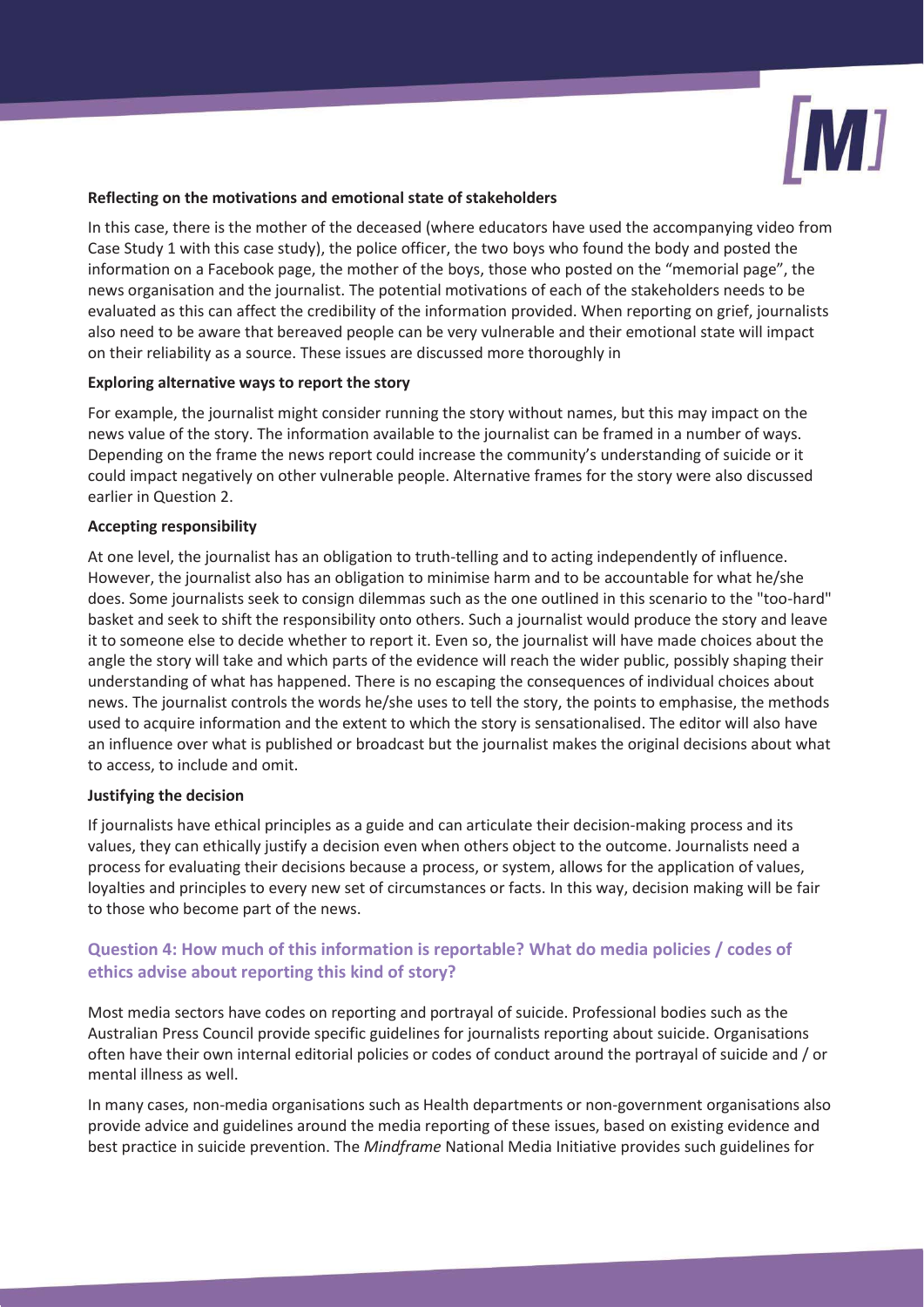

## **Reflecting on the motivations and emotional state of stakeholders**

In this case, there is the mother of the deceased (where educators have used the accompanying video from Case Study 1 with this case study), the police officer, the two boys who found the body and posted the information on a Facebook page, the mother of the boys, those who posted on the "memorial page", the news organisation and the journalist. The potential motivations of each of the stakeholders needs to be evaluated as this can affect the credibility of the information provided. When reporting on grief, journalists also need to be aware that bereaved people can be very vulnerable and their emotional state will impact on their reliability as a source. These issues are discussed more thoroughly in

## **Exploring alternative ways to report the story**

For example, the journalist might consider running the story without names, but this may impact on the news value of the story. The information available to the journalist can be framed in a number of ways. Depending on the frame the news report could increase the community's understanding of suicide or it could impact negatively on other vulnerable people. Alternative frames for the story were also discussed earlier in Question 2.

#### **Accepting responsibility**

At one level, the journalist has an obligation to truth-telling and to acting independently of influence. However, the journalist also has an obligation to minimise harm and to be accountable for what he/she does. Some journalists seek to consign dilemmas such as the one outlined in this scenario to the "too-hard" basket and seek to shift the responsibility onto others. Such a journalist would produce the story and leave it to someone else to decide whether to report it. Even so, the journalist will have made choices about the angle the story will take and which parts of the evidence will reach the wider public, possibly shaping their understanding of what has happened. There is no escaping the consequences of individual choices about news. The journalist controls the words he/she uses to tell the story, the points to emphasise, the methods used to acquire information and the extent to which the story is sensationalised. The editor will also have an influence over what is published or broadcast but the journalist makes the original decisions about what to access, to include and omit.

## **Justifying the decision**

If journalists have ethical principles as a guide and can articulate their decision-making process and its values, they can ethically justify a decision even when others object to the outcome. Journalists need a process for evaluating their decisions because a process, or system, allows for the application of values, loyalties and principles to every new set of circumstances or facts. In this way, decision making will be fair to those who become part of the news.

# **Question 4: How much of this information is reportable? What do media policies / codes of ethics advise about reporting this kind of story?**

Most media sectors have codes on reporting and portrayal of suicide. Professional bodies such as the Australian Press Council provide specific guidelines for journalists reporting about suicide. Organisations often have their own internal editorial policies or codes of conduct around the portrayal of suicide and / or mental illness as well.

In many cases, non-media organisations such as Health departments or non-government organisations also provide advice and guidelines around the media reporting of these issues, based on existing evidence and best practice in suicide prevention. The *Mindframe* National Media Initiative provides such guidelines for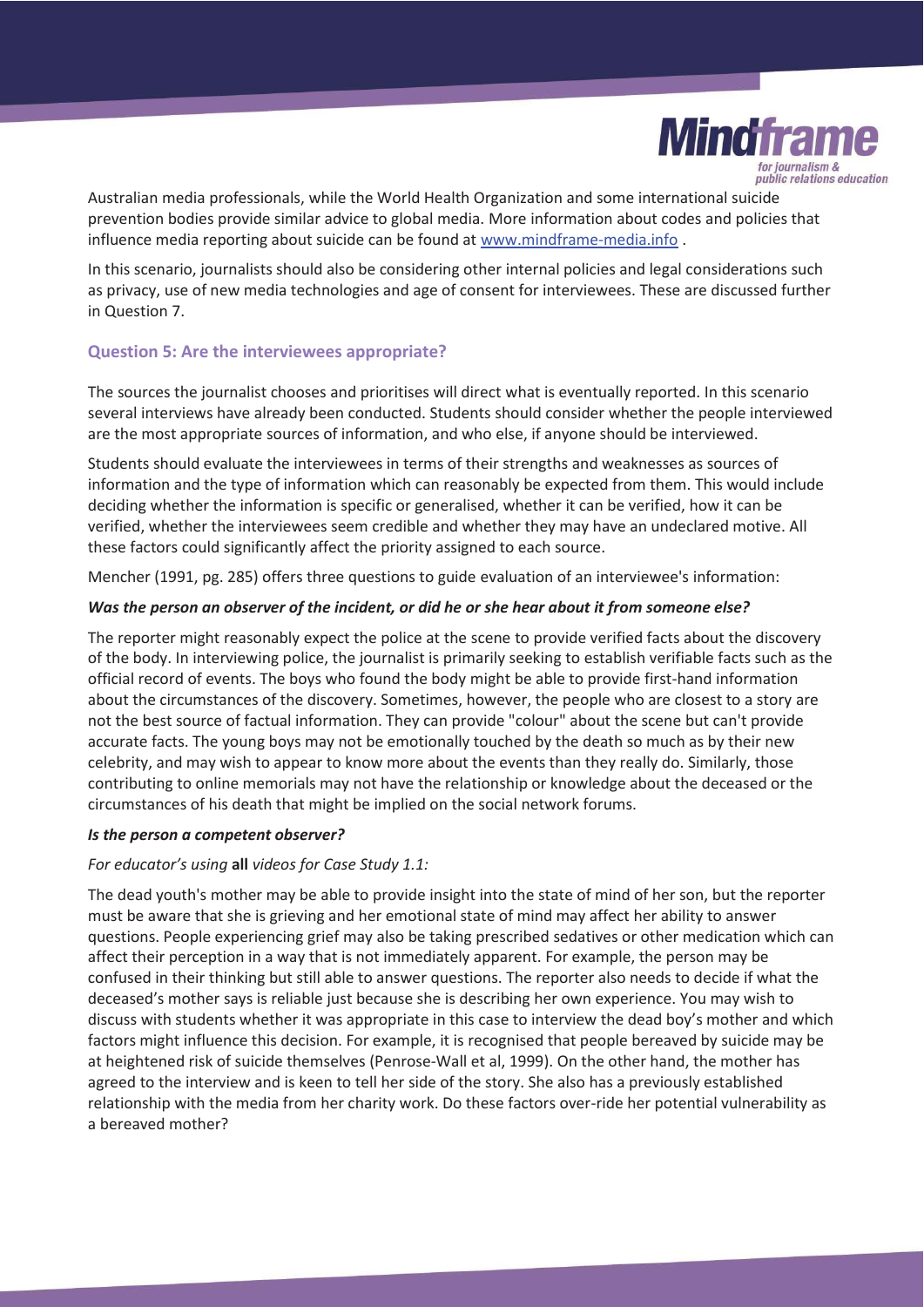

Australian media professionals, while the World Health Organization and some international suicide prevention bodies provide similar advice to global media. More information about codes and policies that influence media reporting about suicide can be found at www.mindframe-media.info .

In this scenario, journalists should also be considering other internal policies and legal considerations such as privacy, use of new media technologies and age of consent for interviewees. These are discussed further in Question 7.

## **Question 5: Are the interviewees appropriate?**

The sources the journalist chooses and prioritises will direct what is eventually reported. In this scenario several interviews have already been conducted. Students should consider whether the people interviewed are the most appropriate sources of information, and who else, if anyone should be interviewed.

Students should evaluate the interviewees in terms of their strengths and weaknesses as sources of information and the type of information which can reasonably be expected from them. This would include deciding whether the information is specific or generalised, whether it can be verified, how it can be verified, whether the interviewees seem credible and whether they may have an undeclared motive. All these factors could significantly affect the priority assigned to each source.

Mencher (1991, pg. 285) offers three questions to guide evaluation of an interviewee's information:

#### *Was the person an observer of the incident, or did he or she hear about it from someone else?*

The reporter might reasonably expect the police at the scene to provide verified facts about the discovery of the body. In interviewing police, the journalist is primarily seeking to establish verifiable facts such as the official record of events. The boys who found the body might be able to provide first-hand information about the circumstances of the discovery. Sometimes, however, the people who are closest to a story are not the best source of factual information. They can provide "colour" about the scene but can't provide accurate facts. The young boys may not be emotionally touched by the death so much as by their new celebrity, and may wish to appear to know more about the events than they really do. Similarly, those contributing to online memorials may not have the relationship or knowledge about the deceased or the circumstances of his death that might be implied on the social network forums.

#### *Is the person a competent observer?*

## *For educator's using* **all** *videos for Case Study 1.1:*

The dead youth's mother may be able to provide insight into the state of mind of her son, but the reporter must be aware that she is grieving and her emotional state of mind may affect her ability to answer questions. People experiencing grief may also be taking prescribed sedatives or other medication which can affect their perception in a way that is not immediately apparent. For example, the person may be confused in their thinking but still able to answer questions. The reporter also needs to decide if what the deceased's mother says is reliable just because she is describing her own experience. You may wish to discuss with students whether it was appropriate in this case to interview the dead boy's mother and which factors might influence this decision. For example, it is recognised that people bereaved by suicide may be at heightened risk of suicide themselves (Penrose-Wall et al, 1999). On the other hand, the mother has agreed to the interview and is keen to tell her side of the story. She also has a previously established relationship with the media from her charity work. Do these factors over-ride her potential vulnerability as a bereaved mother?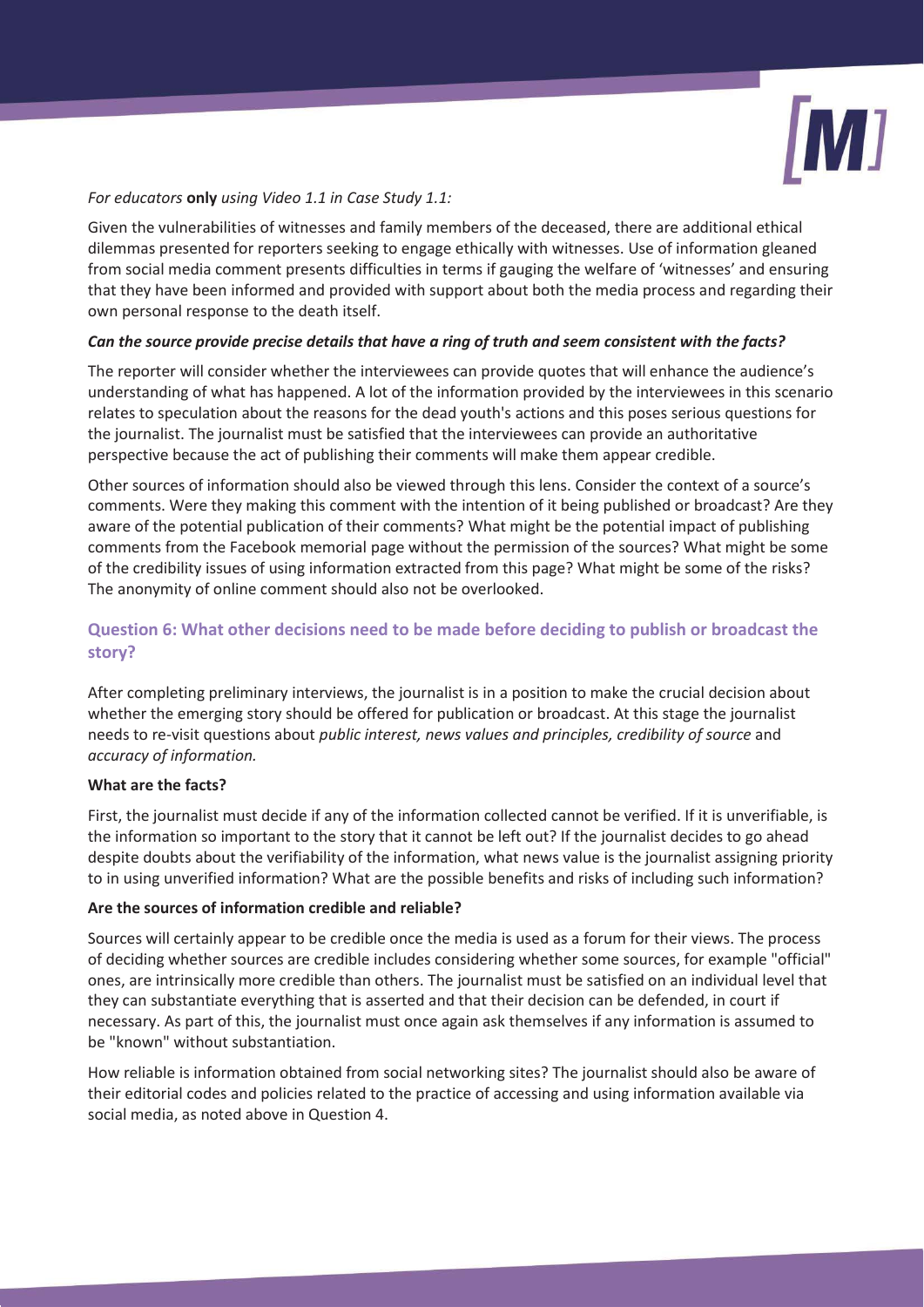

## *For educators* **only** *using Video 1.1 in Case Study 1.1:*

Given the vulnerabilities of witnesses and family members of the deceased, there are additional ethical dilemmas presented for reporters seeking to engage ethically with witnesses. Use of information gleaned from social media comment presents difficulties in terms if gauging the welfare of 'witnesses' and ensuring that they have been informed and provided with support about both the media process and regarding their own personal response to the death itself.

## *Can the source provide precise details that have a ring of truth and seem consistent with the facts?*

The reporter will consider whether the interviewees can provide quotes that will enhance the audience's understanding of what has happened. A lot of the information provided by the interviewees in this scenario relates to speculation about the reasons for the dead youth's actions and this poses serious questions for the journalist. The journalist must be satisfied that the interviewees can provide an authoritative perspective because the act of publishing their comments will make them appear credible.

Other sources of information should also be viewed through this lens. Consider the context of a source's comments. Were they making this comment with the intention of it being published or broadcast? Are they aware of the potential publication of their comments? What might be the potential impact of publishing comments from the Facebook memorial page without the permission of the sources? What might be some of the credibility issues of using information extracted from this page? What might be some of the risks? The anonymity of online comment should also not be overlooked.

# **Question 6: What other decisions need to be made before deciding to publish or broadcast the story?**

After completing preliminary interviews, the journalist is in a position to make the crucial decision about whether the emerging story should be offered for publication or broadcast. At this stage the journalist needs to re-visit questions about *public interest, news values and principles, credibility of source* and *accuracy of information.*

## **What are the facts?**

First, the journalist must decide if any of the information collected cannot be verified. If it is unverifiable, is the information so important to the story that it cannot be left out? If the journalist decides to go ahead despite doubts about the verifiability of the information, what news value is the journalist assigning priority to in using unverified information? What are the possible benefits and risks of including such information?

## **Are the sources of information credible and reliable?**

Sources will certainly appear to be credible once the media is used as a forum for their views. The process of deciding whether sources are credible includes considering whether some sources, for example "official" ones, are intrinsically more credible than others. The journalist must be satisfied on an individual level that they can substantiate everything that is asserted and that their decision can be defended, in court if necessary. As part of this, the journalist must once again ask themselves if any information is assumed to be "known" without substantiation.

How reliable is information obtained from social networking sites? The journalist should also be aware of their editorial codes and policies related to the practice of accessing and using information available via social media, as noted above in Question 4.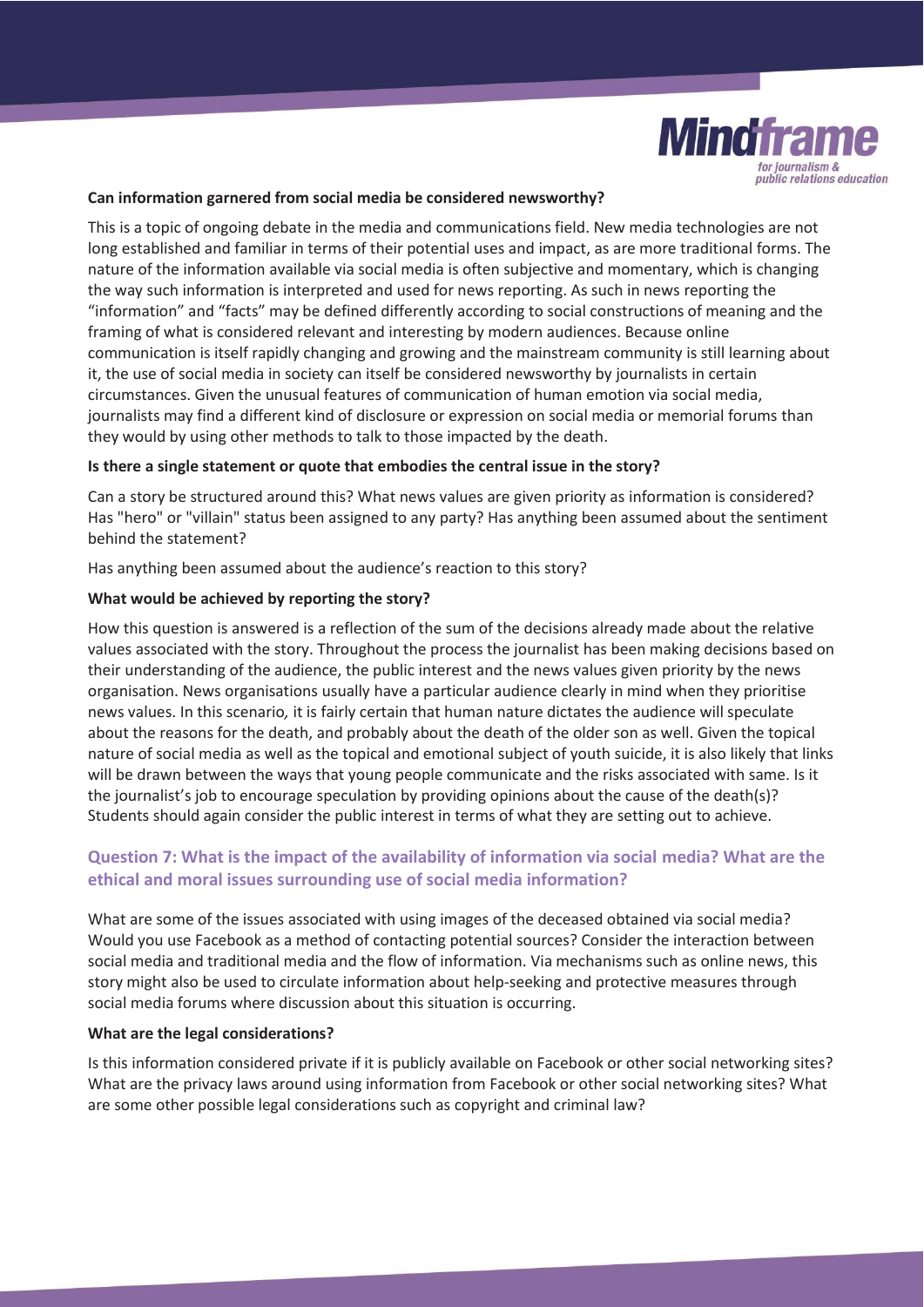

#### **Can information garnered from social media be considered newsworthy?**

This is a topic of ongoing debate in the media and communications field. New media technologies are not long established and familiar in terms of their potential uses and impact, as are more traditional forms. The nature of the information available via social media is often subjective and momentary, which is changing the way such information is interpreted and used for news reporting. As such in news reporting the "information" and "facts" may be defined differently according to social constructions of meaning and the framing of what is considered relevant and interesting by modern audiences. Because online communication is itself rapidly changing and growing and the mainstream community is still learning about it, the use of social media in society can itself be considered newsworthy by journalists in certain circumstances. Given the unusual features of communication of human emotion via social media, journalists may find a different kind of disclosure or expression on social media or memorial forums than they would by using other methods to talk to those impacted by the death.

#### **Is there a single statement or quote that embodies the central issue in the story?**

Can a story be structured around this? What news values are given priority as information is considered? Has "hero" or "villain" status been assigned to any party? Has anything been assumed about the sentiment behind the statement?

Has anything been assumed about the audience's reaction to this story?

#### **What would be achieved by reporting the story?**

How this question is answered is a reflection of the sum of the decisions already made about the relative values associated with the story. Throughout the process the journalist has been making decisions based on their understanding of the audience, the public interest and the news values given priority by the news organisation. News organisations usually have a particular audience clearly in mind when they prioritise news values. In this scenario*,* it is fairly certain that human nature dictates the audience will speculate about the reasons for the death, and probably about the death of the older son as well. Given the topical nature of social media as well as the topical and emotional subject of youth suicide, it is also likely that links will be drawn between the ways that young people communicate and the risks associated with same. Is it the journalist's job to encourage speculation by providing opinions about the cause of the death(s)? Students should again consider the public interest in terms of what they are setting out to achieve.

# **Question 7: What is the impact of the availability of information via social media? What are the ethical and moral issues surrounding use of social media information?**

What are some of the issues associated with using images of the deceased obtained via social media? Would you use Facebook as a method of contacting potential sources? Consider the interaction between social media and traditional media and the flow of information. Via mechanisms such as online news, this story might also be used to circulate information about help-seeking and protective measures through social media forums where discussion about this situation is occurring.

#### **What are the legal considerations?**

Is this information considered private if it is publicly available on Facebook or other social networking sites? What are the privacy laws around using information from Facebook or other social networking sites? What are some other possible legal considerations such as copyright and criminal law?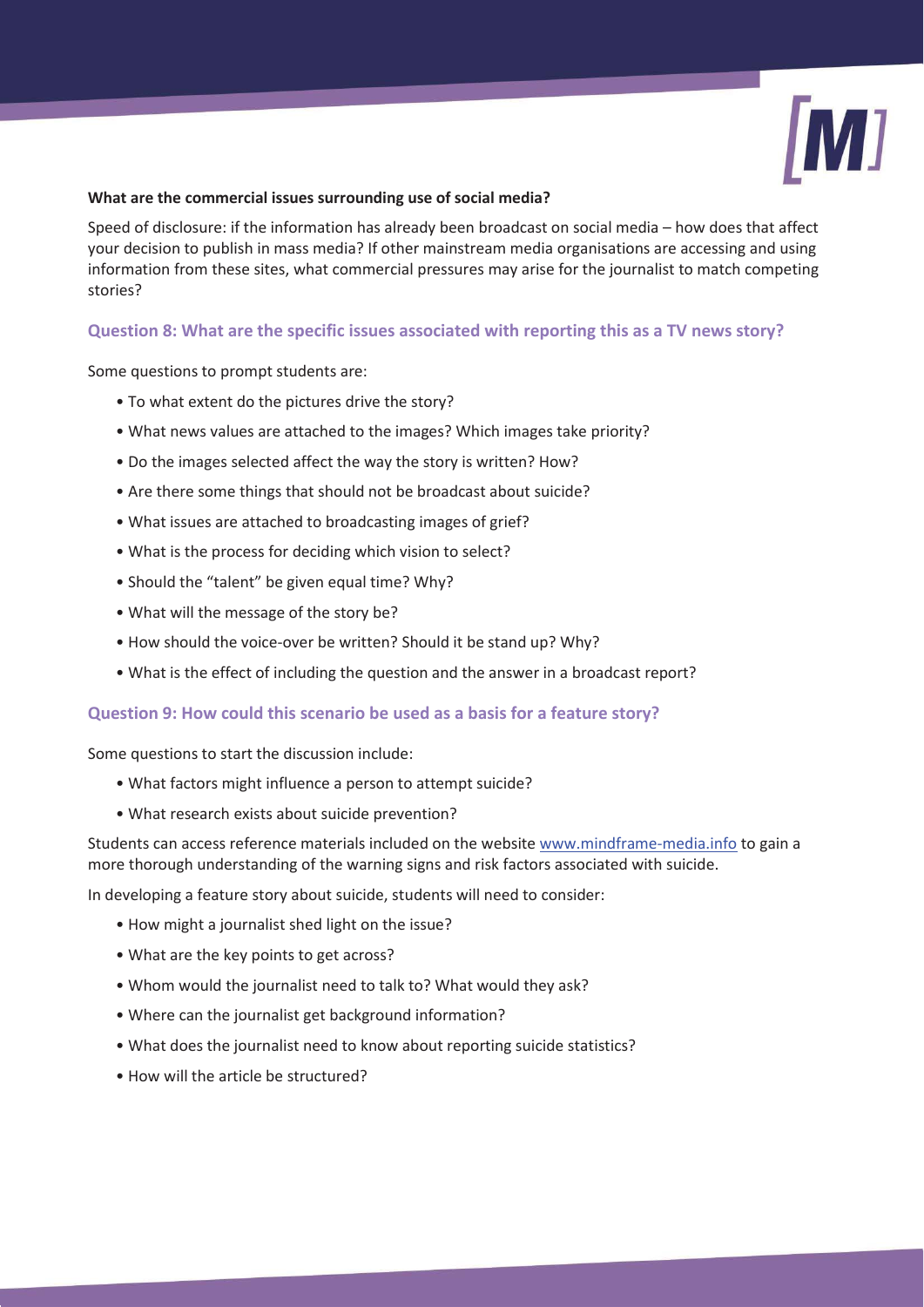

#### **What are the commercial issues surrounding use of social media?**

Speed of disclosure: if the information has already been broadcast on social media – how does that affect your decision to publish in mass media? If other mainstream media organisations are accessing and using information from these sites, what commercial pressures may arise for the journalist to match competing stories?

## **Question 8: What are the specific issues associated with reporting this as a TV news story?**

Some questions to prompt students are:

- To what extent do the pictures drive the story?
- What news values are attached to the images? Which images take priority?
- Do the images selected affect the way the story is written? How?
- Are there some things that should not be broadcast about suicide?
- What issues are attached to broadcasting images of grief?
- What is the process for deciding which vision to select?
- Should the "talent" be given equal time? Why?
- What will the message of the story be?
- How should the voice-over be written? Should it be stand up? Why?
- What is the effect of including the question and the answer in a broadcast report?

## **Question 9: How could this scenario be used as a basis for a feature story?**

Some questions to start the discussion include:

- What factors might influence a person to attempt suicide?
- What research exists about suicide prevention?

Students can access reference materials included on the website www.mindframe-media.info to gain a more thorough understanding of the warning signs and risk factors associated with suicide.

In developing a feature story about suicide, students will need to consider:

- How might a journalist shed light on the issue?
- What are the key points to get across?
- Whom would the journalist need to talk to? What would they ask?
- Where can the journalist get background information?
- What does the journalist need to know about reporting suicide statistics?
- How will the article be structured?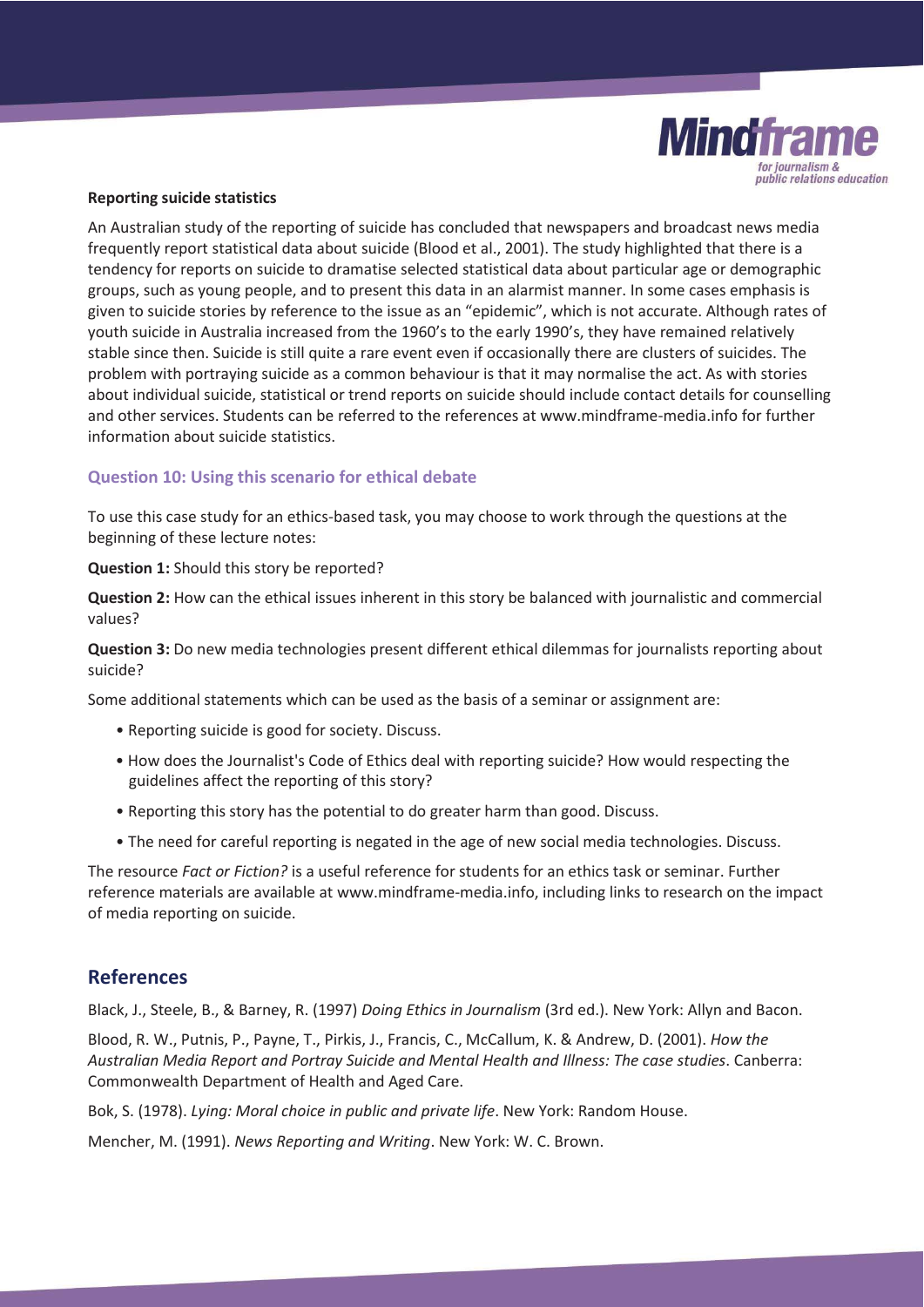

#### **Reporting suicide statistics**

An Australian study of the reporting of suicide has concluded that newspapers and broadcast news media frequently report statistical data about suicide (Blood et al., 2001). The study highlighted that there is a tendency for reports on suicide to dramatise selected statistical data about particular age or demographic groups, such as young people, and to present this data in an alarmist manner. In some cases emphasis is given to suicide stories by reference to the issue as an "epidemic", which is not accurate. Although rates of youth suicide in Australia increased from the 1960's to the early 1990's, they have remained relatively stable since then. Suicide is still quite a rare event even if occasionally there are clusters of suicides. The problem with portraying suicide as a common behaviour is that it may normalise the act. As with stories about individual suicide, statistical or trend reports on suicide should include contact details for counselling and other services. Students can be referred to the references at www.mindframe-media.info for further information about suicide statistics.

## **Question 10: Using this scenario for ethical debate**

To use this case study for an ethics-based task, you may choose to work through the questions at the beginning of these lecture notes:

**Question 1:** Should this story be reported?

**Question 2:** How can the ethical issues inherent in this story be balanced with journalistic and commercial values?

**Question 3:** Do new media technologies present different ethical dilemmas for journalists reporting about suicide?

Some additional statements which can be used as the basis of a seminar or assignment are:

- Reporting suicide is good for society. Discuss.
- How does the Journalist's Code of Ethics deal with reporting suicide? How would respecting the guidelines affect the reporting of this story?
- Reporting this story has the potential to do greater harm than good. Discuss.
- The need for careful reporting is negated in the age of new social media technologies. Discuss.

The resource *Fact or Fiction?* is a useful reference for students for an ethics task or seminar. Further reference materials are available at www.mindframe-media.info, including links to research on the impact of media reporting on suicide.

# **References**

Black, J., Steele, B., & Barney, R. (1997) *Doing Ethics in Journalism* (3rd ed.). New York: Allyn and Bacon.

Blood, R. W., Putnis, P., Payne, T., Pirkis, J., Francis, C., McCallum, K. & Andrew, D. (2001). *How the Australian Media Report and Portray Suicide and Mental Health and Illness: The case studies*. Canberra: Commonwealth Department of Health and Aged Care.

Bok, S. (1978). *Lying: Moral choice in public and private life*. New York: Random House.

Mencher, M. (1991). *News Reporting and Writing*. New York: W. C. Brown.